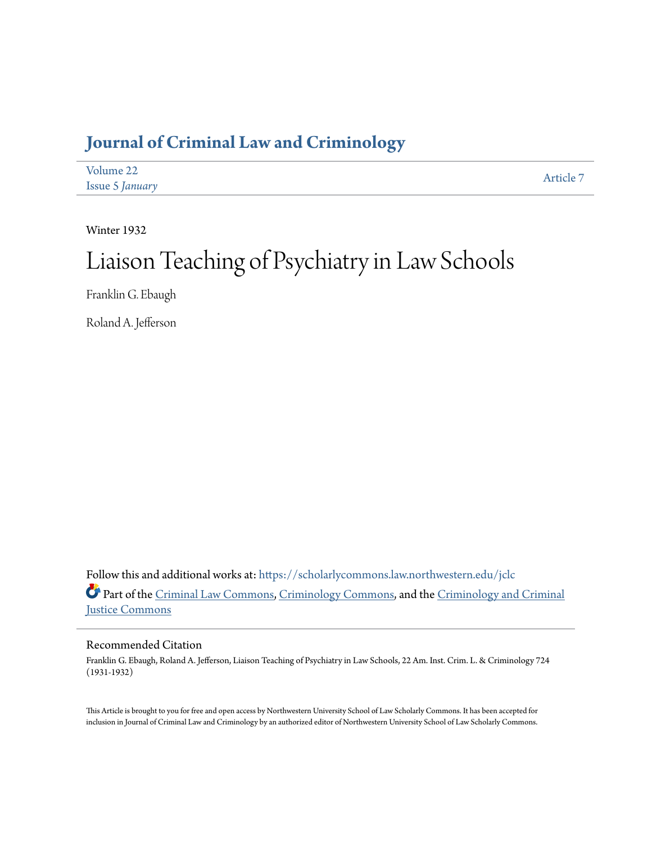# **[Journal of Criminal Law and Criminology](https://scholarlycommons.law.northwestern.edu/jclc?utm_source=scholarlycommons.law.northwestern.edu%2Fjclc%2Fvol22%2Fiss5%2F7&utm_medium=PDF&utm_campaign=PDFCoverPages)**

| Volume 22              | Article 7 |
|------------------------|-----------|
| <b>Issue 5 January</b> |           |

Winter 1932

# Liaison Teaching of Psychiatry in Law Schools

Franklin G. Ebaugh

Roland A. Jefferson

Follow this and additional works at: [https://scholarlycommons.law.northwestern.edu/jclc](https://scholarlycommons.law.northwestern.edu/jclc?utm_source=scholarlycommons.law.northwestern.edu%2Fjclc%2Fvol22%2Fiss5%2F7&utm_medium=PDF&utm_campaign=PDFCoverPages) Part of the [Criminal Law Commons](http://network.bepress.com/hgg/discipline/912?utm_source=scholarlycommons.law.northwestern.edu%2Fjclc%2Fvol22%2Fiss5%2F7&utm_medium=PDF&utm_campaign=PDFCoverPages), [Criminology Commons](http://network.bepress.com/hgg/discipline/417?utm_source=scholarlycommons.law.northwestern.edu%2Fjclc%2Fvol22%2Fiss5%2F7&utm_medium=PDF&utm_campaign=PDFCoverPages), and the [Criminology and Criminal](http://network.bepress.com/hgg/discipline/367?utm_source=scholarlycommons.law.northwestern.edu%2Fjclc%2Fvol22%2Fiss5%2F7&utm_medium=PDF&utm_campaign=PDFCoverPages) [Justice Commons](http://network.bepress.com/hgg/discipline/367?utm_source=scholarlycommons.law.northwestern.edu%2Fjclc%2Fvol22%2Fiss5%2F7&utm_medium=PDF&utm_campaign=PDFCoverPages)

## Recommended Citation

Franklin G. Ebaugh, Roland A. Jefferson, Liaison Teaching of Psychiatry in Law Schools, 22 Am. Inst. Crim. L. & Criminology 724 (1931-1932)

This Article is brought to you for free and open access by Northwestern University School of Law Scholarly Commons. It has been accepted for inclusion in Journal of Criminal Law and Criminology by an authorized editor of Northwestern University School of Law Scholarly Commons.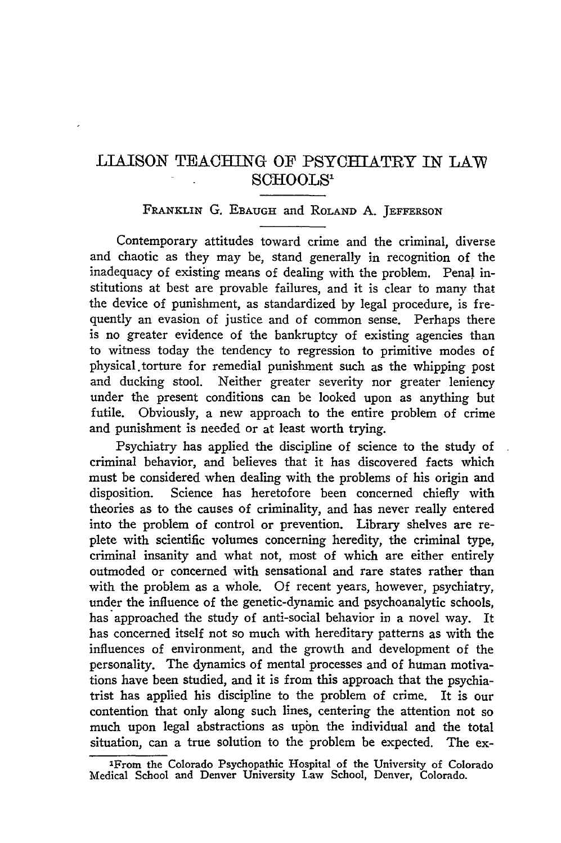# LIAISON TEACHING OF PSYCHIATRY IN LAW **SCHOOLS'**

### FRANKLIN **G. EBAUGH** and ROLAND A. **JEFFERSON**

Contemporary attitudes toward crime and the criminal, diverse and chaotic as they may be, stand generally in recognition of the inadequacy of existing means of dealing with the problem. Penal institutions at best are provable failures, and it is clear to many that the device of punishment, as standardized by legal procedure, is frequently an evasion of justice and of common sense. Perhaps there is no greater evidence of the bankruptcy of existing agencies than to witness today the tendency to regression to primitive modes of physical. torture for remedial punishment such as the whipping post and ducking stool. Neither greater severity nor greater leniency under the present conditions can be looked upon as anything but futile. Obviously, a new approach to the entire problem of crime and punishment is needed or at least worth trying.

Psychiatry has applied the discipline of science to the study of criminal behavior, and believes that it has discovered facts which must be considered when dealing with the problems of his origin and disposition. Science has heretofore been concerned chiefly with theories as to the causes of criminality, and has never really entered into the problem of control or prevention. Library shelves are replete with scientific volumes concerning heredity, the criminal type, criminal insanity and what not, most of which are either entirely outmoded or concerned with sensational and rare states rather than with the problem as a whole. Of recent years, however, psychiatry, under the influence of the genetic-dynamic and psychoanalytic schools, has approached the study of anti-social behavior in a novel way. It has concerned itself not so much with hereditary patterns as with the influences of environment, and the growth and development of the personality. The dynamics of mental processes and of human motivations have been studied, and it is from this approach that the psychiatrist has applied his discipline to the problem of crime. It is our contention that only along such lines, centering the attention not so much upon legal abstractions as upon the individual and the total situation, can a true solution to the problem be expected. The ex-

<sup>&#</sup>x27;From the Colorado Psychopathic Hospital **of** the University **of Colorado** Medical School and Denver University Law School, Denver, Colorado.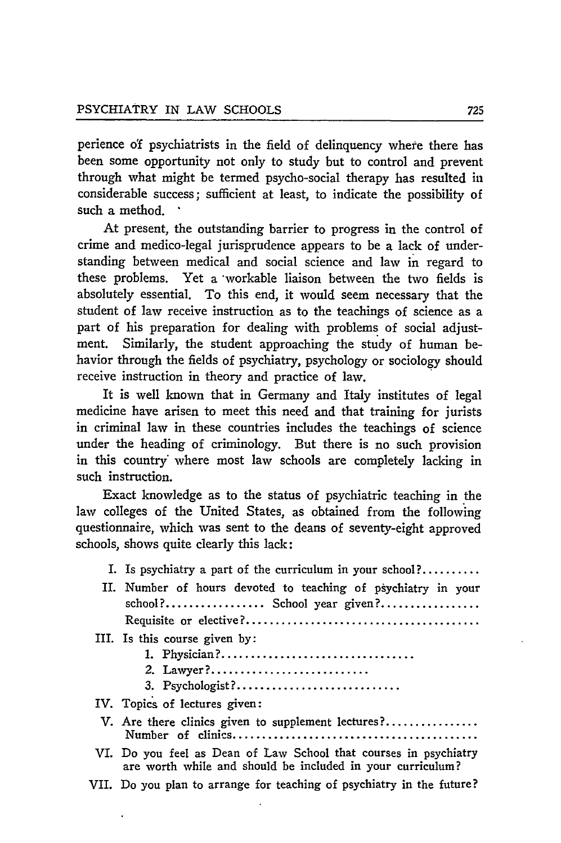perience **o'f** psychiatrists in the field of delinquency where there has been some opportunity not only to study but to control and prevent through what might be termed psycho-social therapy has resulted in considerable success; sufficient at least, to indicate the possibility of such a method.

At present, the outstanding barrier to progress in the control of crime and medico-legal jurisprudence appears to be a lack of understanding between medical and social science and law in regard to these problems. Yet a workable liaison between the two fields is absolutely essential. To this end, it would seem necessary that the student of law receive instruction as to the teachings of science as a part of his preparation for dealing with problems of social adjustment. Similarly, the student approaching the study of human behavior through the fields of psychiatry, psychology or sociology should receive instruction in theory and practice of law.

It is well known that in Germany and Italy institutes of legal medicine have arisen to meet this need and that training for jurists in criminal law in these countries includes the teachings of science under the heading of criminology. But there is no such provision in this country' where most law schools are completely lacking in such instruction.

Exact knowledge as to the status of psychiatric teaching in the law colleges of the United States, as obtained from the following questionnaire, which was sent to the deans of seventy-eight approved schools, shows quite clearly this lack:

- I. Is psychiatry a part of the curriculum in your school? ..........
- II. Number of hours devoted to teaching of psychiatry in your school? **.................** School year given? ................. Requisite or elective? ........................................
- III. Is this course given **by:**
	- **1.** Physician? .................................
	- 2. Lawyer?............................
	- **3.** Psychologist? ............................
- IV. Topics of lectures given:
- V. Are there clinics given to supplement lectures?................ Number of clinics ..........................................
- VI. Do you feel as Dean of **Law** School that courses in psychiatry are worth while and should be included in your curriculum?
- VII. Do you plan to arrange for teaching of psychiatry in the future?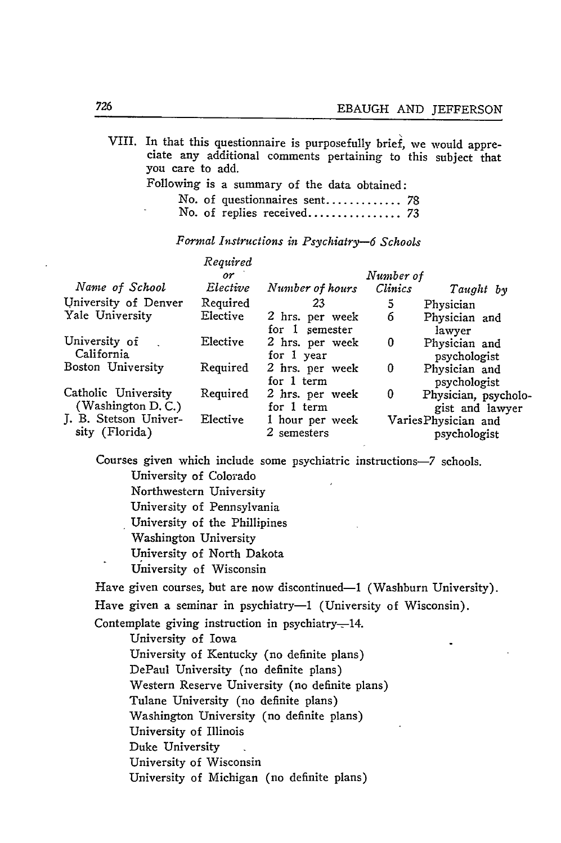VIII. In that this questionnaire is purposefully brief, we would appreciate any additional comments pertaining to this subject that you care to add.

Following is a summary of the data obtained:

|  | No. of questionnaires sent 78 |  |
|--|-------------------------------|--|
|  |                               |  |

*Formal Instructions in Psychiatry-6 Schools*

|                                              | Required   |                                   |                |                                         |
|----------------------------------------------|------------|-----------------------------------|----------------|-----------------------------------------|
|                                              | $\alpha r$ |                                   | Number of      |                                         |
| Name of School                               | Elective   | Number of hours                   | <b>Clinics</b> | Taught by                               |
| University of Denver                         | Required   | 23                                | 5              | Physician                               |
| Yale University                              | Elective   | 2 hrs. per week<br>for 1 semester | 6              | Physician and<br>lawyer                 |
| University of<br>California                  | Elective   | 2 hrs. per week<br>for 1 year     | 0              | Physician and<br>psychologist           |
| Boston University                            | Required   | 2 hrs. per week<br>for 1 term     | 0              | Physician and<br>psychologist           |
| Catholic University<br>(Washington $D, C$ .) | Required   | 2 hrs. per week<br>for 1 term     | 0              | Physician, psycholo-<br>gist and lawyer |
| J. B. Stetson Univer-<br>sity (Florida)      | Elective   | 1 hour per week<br>2 semesters    |                | Varies Physician and<br>psychologist    |

Courses given which include some psychiatric instructions-7 schools. University of Colorado

Northwestern University

University of Pennsylvania

University of the Phillipines

Washington University

University of North Dakota

University of Wisconsin

Have given courses, but are now discontinued-1 (Washburn University).

Have given a seminar in psychiatry-1 (University of Wisconsin).

Contemplate giving instruction in psychiatry-14.

University of Iowa

University of Kentucky (no definite plans)

DePaul University (no definite plans)

Western Reserve University (no definite plans)

Tulane University (no definite plans)

Washington University (no definite plans)

University of Illinois

Duke University

University of Wisconsin

University of Michigan (no definite plans)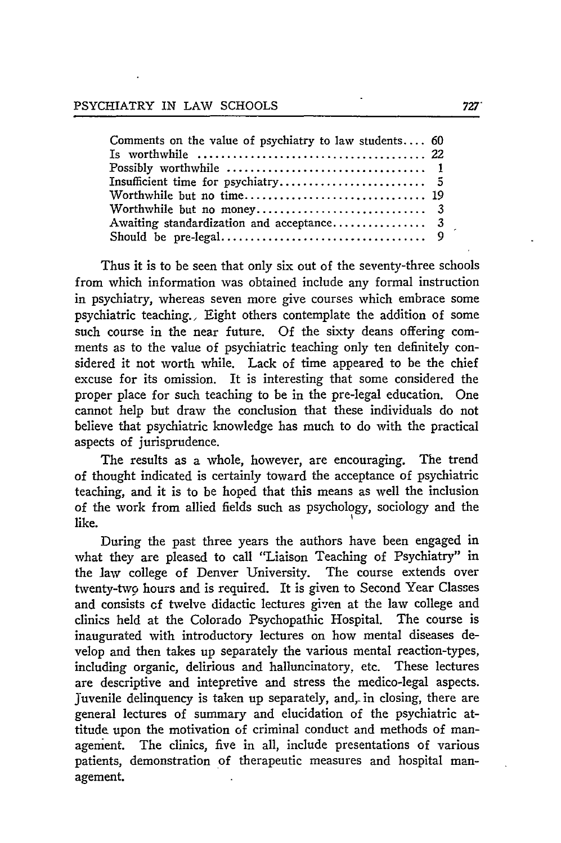| Comments on the value of psychiatry to law students 60 |  |
|--------------------------------------------------------|--|
|                                                        |  |
|                                                        |  |
|                                                        |  |
|                                                        |  |
|                                                        |  |
|                                                        |  |
|                                                        |  |
|                                                        |  |

Thus it is to be seen that only six out of the seventy-three schools from which information was obtained include any formal instruction in psychiatry, whereas seven more give courses which embrace some psychiatric teaching., Eight others contemplate the addition of some such course in the near future. Of the sixty deans offering comments as to the value of psychiatric teaching only ten definitely considered it not worth while. Lack of time appeared to be the chief excuse for its omission. It is interesting that some considered the proper place for such teaching to be in the pre-legal education. One cannot help but draw the conclusion that these individuals do not believe that psychiatric knowledge has much to do with the practical aspects of jurisprudence.

The results as a whole, however, are encouraging. The trend of thought indicated is certainly toward the acceptance of psychiatric teaching, and it is to be hoped that this means as well the inclusion of the work from allied fields such as psychology, sociology and the like.

During the past three years the authors have been engaged in what they are pleased to call "Liaison Teaching of Psychiatry" in the law college of Denver University. The course extends over twenty-two hours and is required. It is given to Second Year Classes and consists **of** twelve didactic lectures given at the law college and clinics held at the Colorado Psychopathic Hospital. The course is inaugurated with introductory lectures on how mental diseases develop and then takes up separately the various mental reaction-types, including organic, delirious and halluncinatory, etc. These lectures are descriptive and intepretive and stress the medico-legal aspects. Juvenile delinquency is taken up separately, and, in closing, there are general lectures of summary and elucidation of the psychiatric attitude upon the motivation of criminal conduct and methods of management. The clinics, five in all, include presentations of various patients, demonstration of therapeutic measures and hospital management.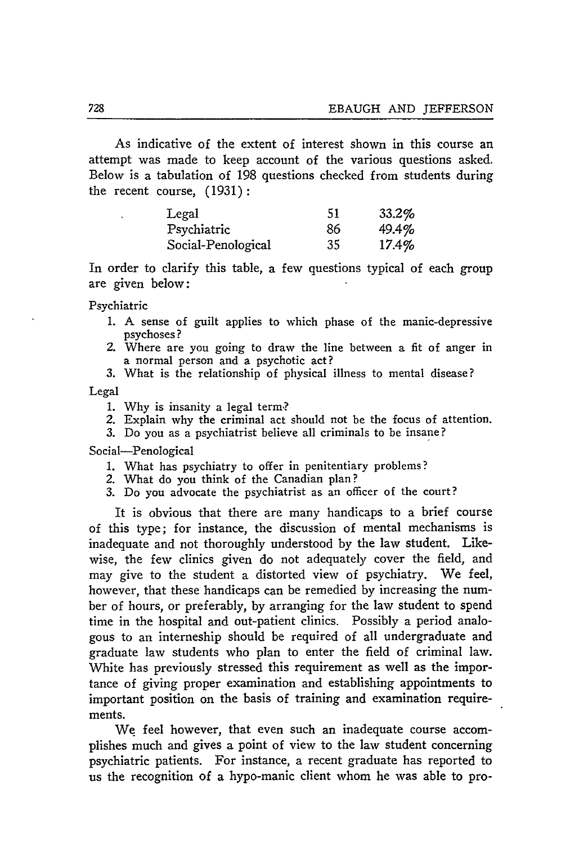As indicative of the extent of interest shown in this course an attempt was made to keep account of the various questions asked. Below is a tabulation of 198 questions checked from students during the recent course, (1931):

| Legal              | -51 | 33.2% |
|--------------------|-----|-------|
| Psychiatric        | 86  | 49.4% |
| Social-Penological | 35  | 17.4% |

In order to clarify this table, a few questions typical of each group are given below:

Psychiatric

- 1. A sense of guilt applies to which phase of the manic-depressive psychoses?
- 2. Where are you going to draw the line between a fit of anger in a normal person and a psychotic act?

3. What is the relationship of physical illness to mental disease?

Legal

- 1. Why is insanity a legal term,?
- *2.* Explain why the criminal act should not be the focus of attention.
- 3. Do you as a psychiatrist believe all criminals to be insane?

Social-Penological

- 1. What has psychiatry to offer in penitentiary problems?
- 2. What do you think of the Canadian plan?
- 3. Do you advocate the psychiatrist as an officer of the court?

It is obvious that there are many handicaps to a brief course of this type; for instance, the discussion of mental mechanisms is inadequate and not thoroughly understood by the law student. Likewise, the few clinics given do not adequately cover the field, and may give to the student a distorted view of psychiatry. We feel, however, that these handicaps can be remedied by increasing the number of hours, or preferably, by arranging for the law student to spend time in the hospital and out-patient clinics. Possibly a period analogous to an interneship should be required of all undergraduate and graduate law students who plan to enter the field of criminal law. White has previously stressed this requirement as well as the importance of giving proper examination and establishing appointments to important position on the basis of training and examination requirements.

We feel however, that even such an inadequate course accomplishes much and gives a point of view to the law student concerning psychiatric patients. For instance, a recent graduate has reported to us the recognition of a hypo-manic client whom he was able to pro-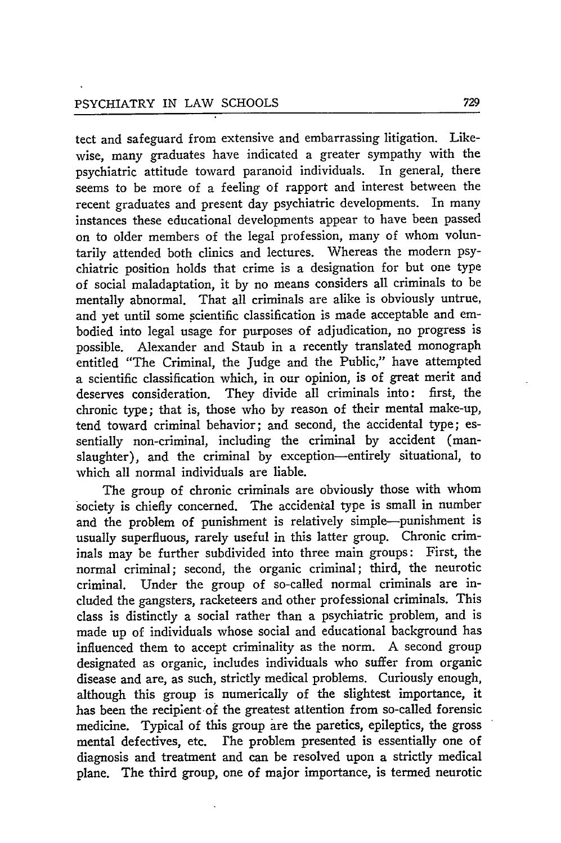tect and safeguard from extensive and embarrassing litigation. Likewise, many graduates have indicated a greater sympathy with the psychiatric attitude toward paranoid individuals. In general, there seems to be more of a feeling of rapport and interest between the recent graduates and present day psychiatric developments. In many instances these educational developments appear to have been passed on to older members of the legal profession, many of whom voluntarily attended both clinics and lectures. Whereas the modern psychiatric position holds that crime is a designation for but one type of social maladaptation, it by no means considers all criminals to be mentally abnormal. That all criminals are alike is obviously untrue, and yet until some scientific classification is made acceptable and embodied into legal usage for purposes of adjudication, no progress is possible. Alexander and Staub in a recently translated monograph entitled "The Criminal, the judge and the Public," have attempted a scientific classification which, in our opinion, is of great merit and deserves consideration. They divide all criminals into: first, the chronic type; that is, those who by reason of their mental make-up, tend toward criminal behavior; and second, the accidental type; essentially non-criminal, including the criminal by accident (manslaughter), and the criminal by exception-entirely situational, to which all normal individuals are liable.

The group of chronic criminals are obviously those with whom society is chiefly concerned. The accidental type is small in number and the problem of punishment is relatively simple-punishment is usually superfluous, rarely useful in this latter group. Chronic criminals may be further subdivided into three main groups: First, the normal criminal; second, the organic criminal; third, the neurotic criminal. Under the group of so-called normal criminals are included the gangsters, racketeers and other professional criminals. This class is distinctly a social rather than a psychiatric problem, and is made up of individuals whose social and educational background has influenced them to accept criminality as the norm. A second group designated as organic, includes individuals who suffer from organic disease and are, as such, strictly medical problems. Curiously enough, although this group is numerically of the slightest importance, it has been the recipient of the greatest attention from so-called forensic medicine. Typical of this group are the paretics, epileptics, the gross mental defectives, etc. The problem presented is essentially one of diagnosis and treatment and can be resolved upon a strictly medical plane. The third group, one of major importance, is termed neurotic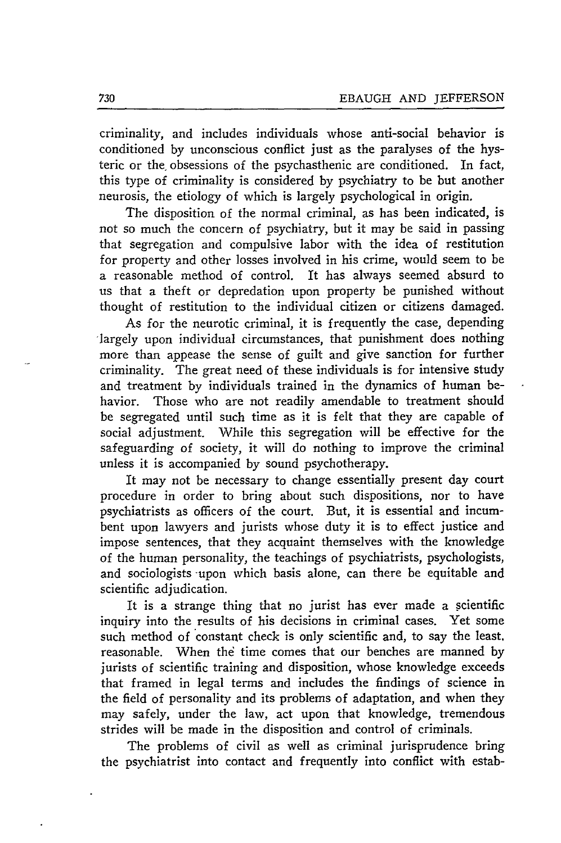criminality, and includes individuals whose anti-social behavior is conditioned by unconscious conflict just as the paralyses of the hysteric or the, obsessions of the psychasthenic are conditioned. In fact, this type of criminality is considered by psychiatry to be but another neurosis, the etiology of which is largely psychological in origin.

The disposition of the normal criminal, as has been indicated, is not so much the concern of psychiatry, but it may be said in passing that segregation and compulsive labor with the idea of restitution for property and other losses involved in his crime, would seem to be a reasonable method of control. It has always seemed absurd to us that a theft or depredation upon property be punished without thought of restitution to the individual citizen or citizens damaged.

As for the neurotic criminal, it is frequently the case, depending 'largely upon individual circumstances, that punishment does nothing more than appease the sense of guilt and give sanction for further criminality. The great need of these individuals is for intensive study and treatment by individuals trained in the dynamics of human behavior. Those who are not readily amendable to treatment should be segregated until such time as it is felt that they are capable of social adjustment. While this segregation will be effective for the safeguarding of society, it will do nothing to improve the criminal unless it is accompanied by sound psychotherapy.

It may not be necessary to change essentially present day court procedure in order to bring about such dispositions, nor to have psychiatrists as officers of the court. But, it is essential and incumbent upon lawyers and jurists whose duty it is to effect justice and impose sentences, that they acquaint themselves with the knowledge of the human personality, the teachings of psychiatrists, psychologists, and sociologists upon which basis alone, can there be equitable and scientific adjudication.

It is a strange thing that no jurist has ever made a scientific inquiry into the results of his decisions in criminal cases. Yet some such method of constant check is only scientific and, to say the least. reasonable. When the time comes that our benches are manned by jurists of scientific training and disposition, whose knowledge exceeds that framed in legal terms and includes the findings of science in the field of personality and its problems of adaptation, and when they may safely, under the law, act upon that knowledge, tremendous strides will be made in the disposition and control of criminals.

The problems of civil as well as criminal jurisprudence bring the psychiatrist into contact and frequently into conflict with estab-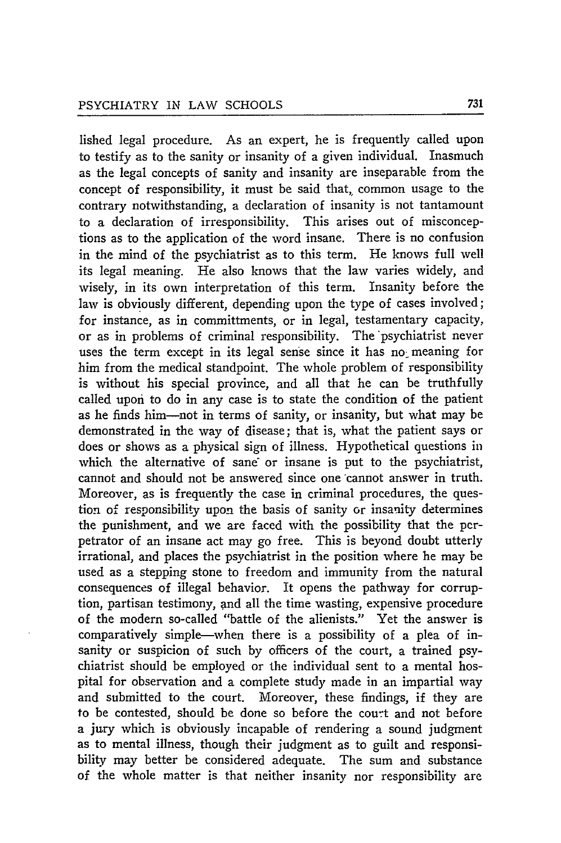lished legal procedure. As an expert, he is frequently called upon to testify as to the sanity or insanity of a given individual. Inasmuch as the legal concepts of sanity and insanity are inseparable from the concept of responsibility, it must be said that, common usage to the contrary notwithstanding, a declaration of insanity is not tantamount to a declaration of irresponsibility. This arises out of misconceptions as to the application of the word insane. There is no confusion in the mind of the psychiatrist as to this term. He knows full well its legal meaning. He also knows that the law varies widely, and wisely, in its own interpretation of this term. Insanity before the law is obviously different, depending upon the type of cases involved; for instance, as in committments, or in legal, testamentary capacity, or as in problems of criminal responsibility. The 'psychiatrist never uses the term except in its legal sense since it has no meaning for him from the medical standpoint. The whole problem of responsibility is without his special province, and all that he can be truthfully called upon to do in any case is to state the condition of the patient as he finds him-not in terms of sanity, or insanity, but what may be demonstrated in the way of disease; that is, what the patient says or does or shows as a physical sign of illness. Hypothetical questions in which the alternative of sane or insane is put to the psychiatrist, cannot and should not be answered since one cannot answer in truth. Moreover, as is frequently the case in criminal procedures, the question of responsibility upon the basis of sanity or insanity determines the punishment, and we are faced with the possibility that the perpetrator of an insane act may go free. This is beyond doubt utterly irrational, and places the psychiatrist in the position where he may be used as a stepping stone to freedom and immunity from the natural consequences of illegal behavior. It opens the pathway for corruption, partisan testimony, and all the time wasting, expensive procedure of the modern so-called "battle of the alienists." Yet the answer is comparatively simple-when there is a possibility of a plea of insanity or suspicion of such by officers of the court, a trained psychiatrist should be employed or the individual sent to a mental hospital for observation and a complete study made in an impartial way and submitted to the court. Moreover, these findings, if they are to be contested, should be done so before the court and not before a jury which is obviously incapable of rendering a sound judgment as to mental illness, though their judgment as to guilt and responsibility may better be considered adequate. The sum and substance of the whole matter is that neither insanity nor responsibility are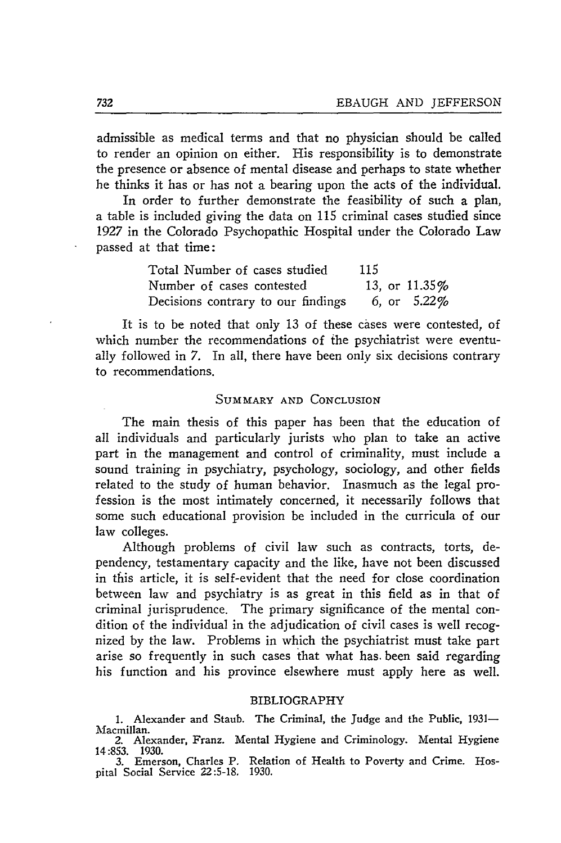admissible as medical terms and that no physician should be called to render an opinion on either. His responsibility is to demonstrate the presence or absence of mental disease and perhaps to state whether he thinks it has or has not a bearing upon the acts of the individual.

In order to further demonstrate the feasibility of such a plan, a table is included giving the data on 115 criminal cases studied since 1927 in the Colorado Psychopathic Hospital under the Colorado Law passed at that time:

| Total Number of cases studied      | 115 |                |
|------------------------------------|-----|----------------|
| Number of cases contested          |     | 13, or 11.35%  |
| Decisions contrary to our findings |     | 6, or $5.22\%$ |

It is to be noted that only 13 of these cases were contested, of which number the recommendations of the psychiatrist were eventually followed in 7. In all, there have been only six decisions contrary to recommendations.

#### SUMMARY **AND** CONCLUSION

The main thesis of this paper has been that the education of all individuals and particularly jurists who plan to take an active part in the management and control of criminality, must include a sound training in psychiatry, psychology, sociology, and other fields related to the study of human behavior. Inasmuch as the legal profession is the most intimately concerned, it necessarily follows that some such educational provision be included in the curricula of our law colleges.

Although problems of civil law such as contracts, torts, dependency, testamentary capacity and the like, have not been discussed in this article, it is self-evident that the need for close coordination between law and psychiatry is as great in this field as in that of criminal jurisprudence. The primary significance of the mental condition of the individual in the adjudication of civil cases is well recognized by the law. Problems in which the psychiatrist must take part arise so frequently in such cases that what has. been said regarding his function and his province elsewhere must apply here as well.

#### BIBLIOGRAPHY

1. Alexander and Staub. The Criminal, the Judge and the Public, 1931-Macmillan. **2.** Alexander, Franz. Mental Hygiene and Criminology. Mental Hygiene

14:853. 1930. 3. Emerson, Charles P. Relation of Health to Poverty and Crime. Hos-

pital Social Service 22:5-18. 1930.